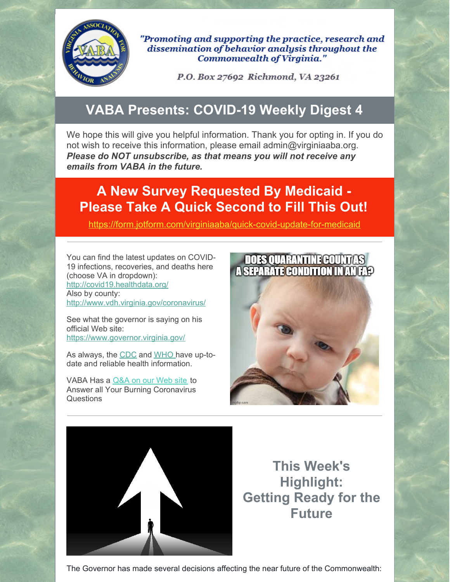

"Promoting and supporting the practice, research and dissemination of behavior analysis throughout the **Commonwealth of Virginia."** 

P.O. Box 27692 Richmond, VA 23261

# **VABA Presents: COVID-19 Weekly Digest 4**

We hope this will give you helpful information. Thank you for opting in. If you do not wish to receive this information, please email admin@virginiaaba.org. *Please do NOT unsubscribe, as that means you will not receive any emails from VABA in the future.*

## **A New Survey Requested By Medicaid - Please Take A Quick Second to Fill This Out!**

<https://form.jotform.com/virginiaaba/quick-covid-update-for-medicaid>

You can find the latest updates on COVID-19 infections, recoveries, and deaths here (choose VA in dropdown): <http://covid19.healthdata.org/> Also by county: <http://www.vdh.virginia.gov/coronavirus/>

See what the governor is saying on his official Web site: <https://www.governor.virginia.gov/>

As always, the [CDC](https://www.cdc.gov/coronavirus/2019-nCoV/index.html) and [WHO](https://www.who.int/emergencies/diseases/novel-coronavirus-2019) have up-todate and reliable health information.

VABA Has a [Q&A](https://www.virginiaaba.org/information-on-covid-19/) on our Web site to Answer all Your Burning Coronavirus **Questions** 





**This Week's Highlight: Getting Ready for the Future**

The Governor has made several decisions affecting the near future of the Commonwealth: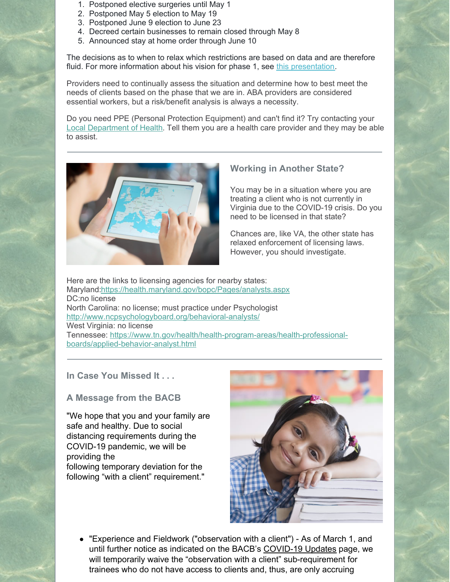- 1. Postponed elective surgeries until May 1
- 2. Postponed May 5 election to May 19
- 3. Postponed June 9 election to June 23
- 4. Decreed certain businesses to remain closed through May 8
- 5. Announced stay at home order through June 10

The decisions as to when to relax which restrictions are based on data and are therefore fluid. For more information about his vision for phase 1, see this [presentation](https://www.governor.virginia.gov/media/governorvirginiagov/governor-of-virginia/pdf/Slide-Deck-4-24-2020-.pdf).

Providers need to continually assess the situation and determine how to best meet the needs of clients based on the phase that we are in. ABA providers are considered essential workers, but a risk/benefit analysis is always a necessity.

Do you need PPE (Personal Protection Equipment) and can't find it? Try contacting your Local [Department](https://www.vdh.virginia.gov/local-health-districts/) of Health. Tell them you are a health care provider and they may be able to assist.



### **Working in Another State?**

You may be in a situation where you are treating a client who is not currently in Virginia due to the COVID-19 crisis. Do you need to be licensed in that state?

Chances are, like VA, the other state has relaxed enforcement of licensing laws. However, you should investigate.

Here are the links to licensing agencies for nearby states: Maryland[:https://health.maryland.gov/bopc/Pages/analysts.aspx](https://health.maryland.gov/bopc/Pages/analysts.aspx) DC:no license North Carolina: no license; must practice under Psychologist <http://www.ncpsychologyboard.org/behavioral-analysts/> West Virginia: no license Tennessee: [https://www.tn.gov/health/health-program-areas/health-professional](https://www.tn.gov/health/health-program-areas/health-professional-boards/applied-behavior-analyst.html)boards/applied-behavior-analyst.html

### **In Case You Missed It . . .**

### **A Message from the BACB**

"We hope that you and your family are safe and healthy. Due to social distancing requirements during the COVID-19 pandemic, we will be providing the following temporary deviation for the following "with a client" requirement."



"Experience and Fieldwork ("observation with a client") - As of March 1, and until further notice as indicated on the BACB's [COVID-19](https://bacb.us11.list-manage.com/track/click?u=d644efde1ca9e20ef4bff49d4&id=7d3702e28d&e=305fca0e13) Updates page, we will temporarily waive the "observation with a client" sub-requirement for trainees who do not have access to clients and, thus, are only accruing